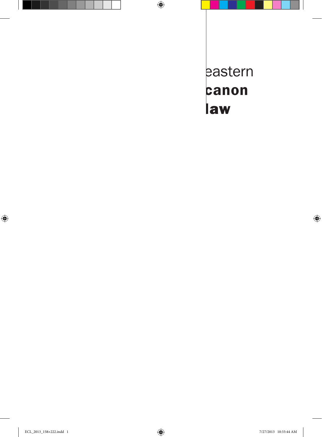eastern canon law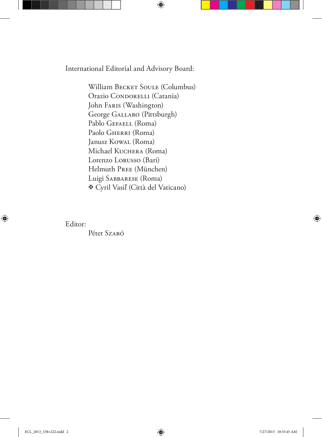International Editorial and Advisory Board:

William BECKET SOULE (Columbus) Orazio CONDORELLI (Catania) John Faris (Washington) George Gallaro (Pittsburgh) Pablo GEFAELL (Roma) Paolo GHERRI (Roma) Janusz Kowal (Roma) Michael Kuchera (Roma) Lorenzo Lorusso (Bari) Helmuth Pree (München) Luigi Sabbarese (Roma) Cyril Vasiľ (Città del Vaticano)

Editor:

Péter Szabó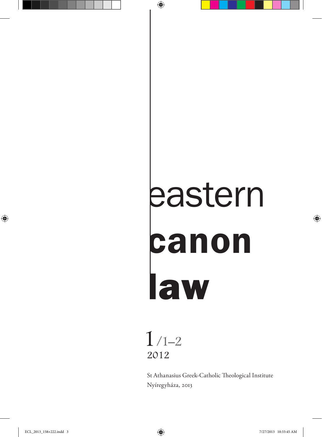# eastern canon law



St Athanasius Greek-Catholic Theological Institute Nyíregyháza, 2013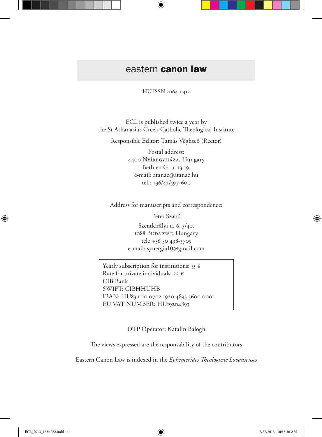# eastern canon law

HU ISSN 2064-0412

ECL is published twice a year by the St Athanasius Greek-Catholic Theological Institute

Responsible Editor: Tamás Véghseő (Rector)

Postal address: 4400 Nyíregyháza, Hungary Bethlen G. u. 13-19. e-mail: atanaz@atanaz.hu tel.: +36/42/597-600

Address for manuscripts and correspondence:

Péter Szabó

Szentkirályi u. 6. 3/40. 1088 BUDAPEST, Hungary tel.: +36 30 498-3705 e-mail: synergia10@gmail.com

Yearly subscription for institutions:  $55 \in$ Rate for private individuals: 22  $\epsilon$ CIB Bank SWIFT: CIBHHUHB IBAN: HU83 1110 0702 1920 4893 3600 0001 EU VAT NUMBER: HU19204893

DTP Operator: Katalin Balogh

The views expressed are the responsability of the contributors

Eastern Canon Law is indexed in the *Ephemerides Theologicae Lovanienses*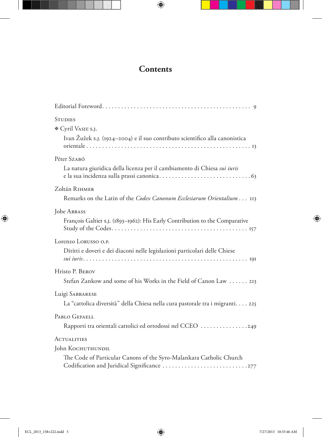# **Contents**

| <b>STUDIES</b><br><b>®</b> Cyril VASIE S.J.<br>Ivan Žužek s.j. (1924–2004) e il suo contributo scientifico alla canonistica |
|-----------------------------------------------------------------------------------------------------------------------------|
| Péter Szabó                                                                                                                 |
| La natura giuridica della licenza per il cambiamento di Chiesa sui iuris                                                    |
| Zoltán RIHMER                                                                                                               |
| Remarks on the Latin of the Codex Canonum Ecclesiarum Orientalium 113                                                       |
| Jobe ABBASS                                                                                                                 |
| François Galtier s.J. (1893-1962): His Early Contribution to the Comparative                                                |
| Lorenzo LORUSSO O.P.                                                                                                        |
| Diritti e doveri e dei diaconi nelle legislazioni particolari delle Chiese                                                  |
| Hristo P. BEROV                                                                                                             |
| Stefan Zankow and some of his Works in the Field of Canon Law 213                                                           |
| Luigi SABBARESE                                                                                                             |
| La "cattolica diversità" della Chiesa nella cura pastorale tra i migranti 225                                               |
| PABLO GEFAELL                                                                                                               |
| Rapporti tra orientali cattolici ed ortodossi nel CCEO 249                                                                  |
| <b>ACTUALITIES</b>                                                                                                          |
| John KOCHUTHUNDIL                                                                                                           |
| The Code of Particular Canons of the Syro-Malankara Catholic Church                                                         |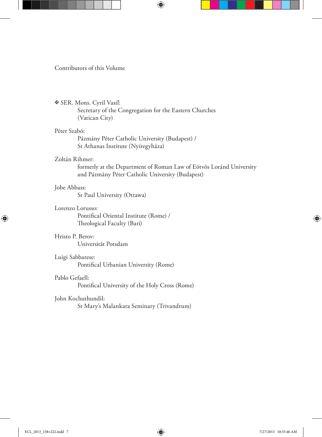### Contributors of this Volume

### SER. Mons. Cyril Vasiľ:

 Secretary of the Congregation for the Eastern Churches (Vatican City)

### Péter Szabó:

Pázmány Péter Catholic University (Budapest) / St Athanas Institute (Nyíregyháza)

### Zoltán Rihmer:

 formerly at the Department of Roman Law of Eötvös Loránd University and Pázmány Péter Catholic University (Budapest)

### Jobe Abbass:

St Paul University (Ottawa)

### Lorenzo Lorusso:

Pontifical Oriental Institute (Rome) / Theological Faculty (Bari)

### Hristo P. Berov:

Universität Potsdam

### Luigi Sabbarese:

Pontifical Urbanian University (Rome)

### Pablo Gefaell:

Pontifical University of the Holy Cross (Rome)

### John Kochuthundil:

St Mary's Malankara Seminary (Trivandrum)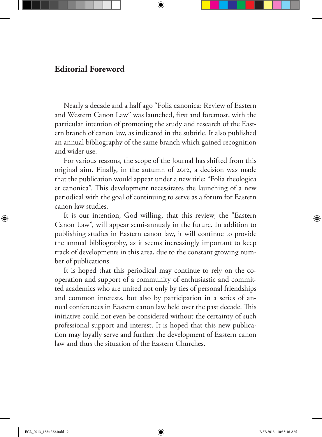## **Editorial Foreword**

Nearly a decade and a half ago "Folia canonica: Review of Eastern and Western Canon Law" was launched, first and foremost, with the particular intention of promoting the study and research of the Eastern branch of canon law, as indicated in the subtitle. It also published an annual bibliography of the same branch which gained recognition and wider use.

For various reasons, the scope of the Journal has shifted from this original aim. Finally, in the autumn of 2012, a decision was made that the publication would appear under a new title: "Folia theologica et canonica". This development necessitates the launching of a new periodical with the goal of continuing to serve as a forum for Eastern canon law studies.

It is our intention, God willing, that this review, the "Eastern Canon Law", will appear semi-annualy in the future. In addition to publishing studies in Eastern canon law, it will continue to provide the annual bibliography, as it seems increasingly important to keep track of developments in this area, due to the constant growing number of publications.

It is hoped that this periodical may continue to rely on the cooperation and support of a community of enthusiastic and committed academics who are united not only by ties of personal friendships and common interests, but also by participation in a series of annual conferences in Eastern canon law held over the past decade. This initiative could not even be considered without the certainty of such professional support and interest. It is hoped that this new publication may loyally serve and further the development of Eastern canon law and thus the situation of the Eastern Churches.